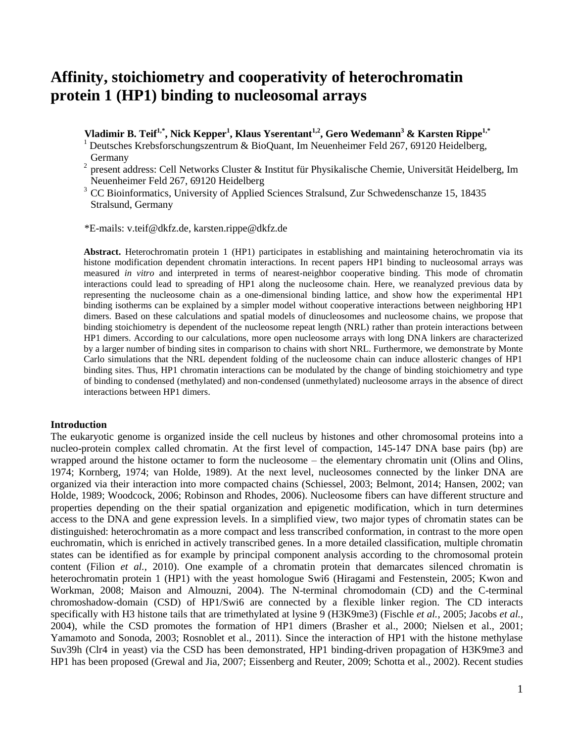# **Affinity, stoichiometry and cooperativity of heterochromatin protein 1 (HP1) binding to nucleosomal arrays**

**Vladimir B. Teif1,\*, Nick Kepper<sup>1</sup> , Klaus Yserentant1,2 , Gero Wedemann<sup>3</sup> & Karsten Rippe1,\***

<sup>1</sup> Deutsches Krebsforschungszentrum & BioQuant, Im Neuenheimer Feld 267, 69120 Heidelberg, Germany

<sup>2</sup> present address: Cell Networks Cluster & Institut für Physikalische Chemie, Universität Heidelberg, Im Neuenheimer Feld 267, 69120 Heidelberg

<sup>3</sup> CC Bioinformatics, University of Applied Sciences Stralsund, Zur Schwedenschanze 15, 18435 Stralsund, Germany

\*E-mails: v.teif@dkfz.de, karsten.rippe@dkfz.de

**Abstract.** Heterochromatin protein 1 (HP1) participates in establishing and maintaining heterochromatin via its histone modification dependent chromatin interactions. In recent papers HP1 binding to nucleosomal arrays was measured *in vitro* and interpreted in terms of nearest-neighbor cooperative binding. This mode of chromatin interactions could lead to spreading of HP1 along the nucleosome chain. Here, we reanalyzed previous data by representing the nucleosome chain as a one-dimensional binding lattice, and show how the experimental HP1 binding isotherms can be explained by a simpler model without cooperative interactions between neighboring HP1 dimers. Based on these calculations and spatial models of dinucleosomes and nucleosome chains, we propose that binding stoichiometry is dependent of the nucleosome repeat length (NRL) rather than protein interactions between HP1 dimers. According to our calculations, more open nucleosome arrays with long DNA linkers are characterized by a larger number of binding sites in comparison to chains with short NRL. Furthermore, we demonstrate by Monte Carlo simulations that the NRL dependent folding of the nucleosome chain can induce allosteric changes of HP1 binding sites. Thus, HP1 chromatin interactions can be modulated by the change of binding stoichiometry and type of binding to condensed (methylated) and non-condensed (unmethylated) nucleosome arrays in the absence of direct interactions between HP1 dimers.

#### **Introduction**

The eukaryotic genome is organized inside the cell nucleus by histones and other chromosomal proteins into a nucleo-protein complex called chromatin. At the first level of compaction, 145-147 DNA base pairs (bp) are wrapped around the histone octamer to form the nucleosome – the elementary chromatin unit (Olins and Olins, 1974; Kornberg, 1974; van Holde, 1989). At the next level, nucleosomes connected by the linker DNA are organized via their interaction into more compacted chains (Schiessel, 2003; Belmont, 2014; Hansen, 2002; van Holde, 1989; Woodcock, 2006; Robinson and Rhodes, 2006). Nucleosome fibers can have different structure and properties depending on the their spatial organization and epigenetic modification, which in turn determines access to the DNA and gene expression levels. In a simplified view, two major types of chromatin states can be distinguished: heterochromatin as a more compact and less transcribed conformation, in contrast to the more open euchromatin, which is enriched in actively transcribed genes. In a more detailed classification, multiple chromatin states can be identified as for example by principal component analysis according to the chromosomal protein content (Filion *et al.*, 2010). One example of a chromatin protein that demarcates silenced chromatin is heterochromatin protein 1 (HP1) with the yeast homologue Swi6 (Hiragami and Festenstein, 2005; Kwon and Workman, 2008; Maison and Almouzni, 2004). The N-terminal chromodomain (CD) and the C-terminal chromoshadow-domain (CSD) of HP1/Swi6 are connected by a flexible linker region. The CD interacts specifically with H3 histone tails that are trimethylated at lysine 9 (H3K9me3) (Fischle *et al.*, 2005; Jacobs *et al.*, 2004), while the CSD promotes the formation of HP1 dimers (Brasher et al., 2000; Nielsen et al., 2001; Yamamoto and Sonoda, 2003; Rosnoblet et al., 2011). Since the interaction of HP1 with the histone methylase Suv39h (Clr4 in yeast) via the CSD has been demonstrated, HP1 binding-driven propagation of H3K9me3 and HP1 has been proposed (Grewal and Jia, 2007; Eissenberg and Reuter, 2009; Schotta et al., 2002). Recent studies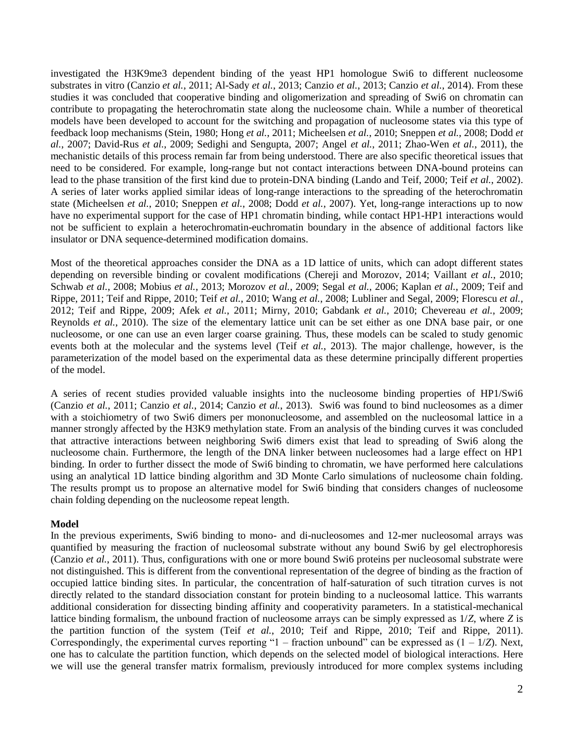investigated the H3K9me3 dependent binding of the yeast HP1 homologue Swi6 to different nucleosome substrates in vitro (Canzio *et al.*, 2011; Al-Sady *et al.*, 2013; Canzio *et al.*, 2013; Canzio *et al.*, 2014). From these studies it was concluded that cooperative binding and oligomerization and spreading of Swi6 on chromatin can contribute to propagating the heterochromatin state along the nucleosome chain. While a number of theoretical models have been developed to account for the switching and propagation of nucleosome states via this type of feedback loop mechanisms (Stein, 1980; Hong *et al.*, 2011; Micheelsen *et al.*, 2010; Sneppen *et al.*, 2008; Dodd *et al.*, 2007; David-Rus *et al.*, 2009; Sedighi and Sengupta, 2007; Angel *et al.*, 2011; Zhao-Wen *et al.*, 2011), the mechanistic details of this process remain far from being understood. There are also specific theoretical issues that need to be considered. For example, long-range but not contact interactions between DNA-bound proteins can lead to the phase transition of the first kind due to protein-DNA binding (Lando and Teif, 2000; Teif *et al.*, 2002). A series of later works applied similar ideas of long-range interactions to the spreading of the heterochromatin state (Micheelsen *et al.*, 2010; Sneppen *et al.*, 2008; Dodd *et al.*, 2007). Yet, long-range interactions up to now have no experimental support for the case of HP1 chromatin binding, while contact HP1-HP1 interactions would not be sufficient to explain a heterochromatin-euchromatin boundary in the absence of additional factors like insulator or DNA sequence-determined modification domains.

Most of the theoretical approaches consider the DNA as a 1D lattice of units, which can adopt different states depending on reversible binding or covalent modifications (Chereji and Morozov, 2014; Vaillant *et al.*, 2010; Schwab *et al.*, 2008; Mobius *et al.*, 2013; Morozov *et al.*, 2009; Segal *et al.*, 2006; Kaplan *et al.*, 2009; Teif and Rippe, 2011; Teif and Rippe, 2010; Teif *et al.*, 2010; Wang *et al.*, 2008; Lubliner and Segal, 2009; Florescu *et al.*, 2012; Teif and Rippe, 2009; Afek *et al.*, 2011; Mirny, 2010; Gabdank *et al.*, 2010; Chevereau *et al.*, 2009; Reynolds *et al.*, 2010). The size of the elementary lattice unit can be set either as one DNA base pair, or one nucleosome, or one can use an even larger coarse graining. Thus, these models can be scaled to study genomic events both at the molecular and the systems level (Teif *et al.*, 2013). The major challenge, however, is the parameterization of the model based on the experimental data as these determine principally different properties of the model.

A series of recent studies provided valuable insights into the nucleosome binding properties of HP1/Swi6 (Canzio *et al.*, 2011; Canzio *et al.*, 2014; Canzio *et al.*, 2013). Swi6 was found to bind nucleosomes as a dimer with a stoichiometry of two Swi6 dimers per mononucleosome, and assembled on the nucleosomal lattice in a manner strongly affected by the H3K9 methylation state. From an analysis of the binding curves it was concluded that attractive interactions between neighboring Swi6 dimers exist that lead to spreading of Swi6 along the nucleosome chain. Furthermore, the length of the DNA linker between nucleosomes had a large effect on HP1 binding. In order to further dissect the mode of Swi6 binding to chromatin, we have performed here calculations using an analytical 1D lattice binding algorithm and 3D Monte Carlo simulations of nucleosome chain folding. The results prompt us to propose an alternative model for Swi6 binding that considers changes of nucleosome chain folding depending on the nucleosome repeat length.

## **Model**

In the previous experiments, Swi6 binding to mono- and di-nucleosomes and 12-mer nucleosomal arrays was quantified by measuring the fraction of nucleosomal substrate without any bound Swi6 by gel electrophoresis (Canzio *et al.*, 2011). Thus, configurations with one or more bound Swi6 proteins per nucleosomal substrate were not distinguished. This is different from the conventional representation of the degree of binding as the fraction of occupied lattice binding sites. In particular, the concentration of half-saturation of such titration curves is not directly related to the standard dissociation constant for protein binding to a nucleosomal lattice. This warrants additional consideration for dissecting binding affinity and cooperativity parameters. In a statistical-mechanical lattice binding formalism, the unbound fraction of nucleosome arrays can be simply expressed as 1/*Z*, where *Z* is the partition function of the system (Teif *et al.*, 2010; Teif and Rippe, 2010; Teif and Rippe, 2011). Correspondingly, the experimental curves reporting "1 – fraction unbound" can be expressed as  $(1 - 1/Z)$ . Next, one has to calculate the partition function, which depends on the selected model of biological interactions. Here we will use the general transfer matrix formalism, previously introduced for more complex systems including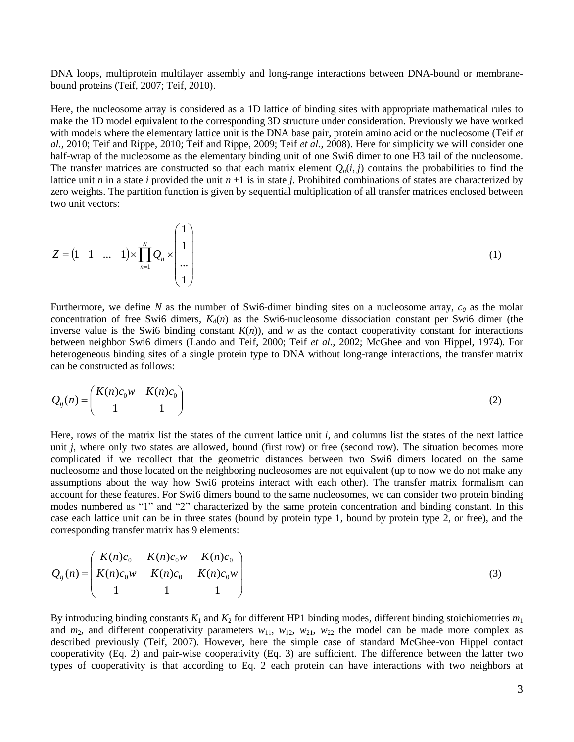DNA loops, multiprotein multilayer assembly and long-range interactions between DNA-bound or membranebound proteins (Teif, 2007; Teif, 2010).

Here, the nucleosome array is considered as a 1D lattice of binding sites with appropriate mathematical rules to make the 1D model equivalent to the corresponding 3D structure under consideration. Previously we have worked with models where the elementary lattice unit is the DNA base pair, protein amino acid or the nucleosome (Teif *et al.*, 2010; Teif and Rippe, 2010; Teif and Rippe, 2009; Teif *et al.*, 2008). Here for simplicity we will consider one half-wrap of the nucleosome as the elementary binding unit of one Swi6 dimer to one H3 tail of the nucleosome. The transfer matrices are constructed so that each matrix element  $Q_n(i, j)$  contains the probabilities to find the lattice unit *n* in a state *i* provided the unit *n* +1 is in state *j*. Prohibited combinations of states are characterized by zero weights. The partition function is given by sequential multiplication of all transfer matrices enclosed between two unit vectors:

$$
Z = \begin{pmatrix} 1 & 1 & \dots & 1 \end{pmatrix} \times \prod_{n=1}^{N} Q_n \times \begin{pmatrix} 1 \\ 1 \\ \dots \\ 1 \end{pmatrix} \tag{1}
$$

Furthermore, we define *N* as the number of Swi6-dimer binding sites on a nucleosome array, *c<sup>0</sup>* as the molar concentration of free Swi6 dimers,  $K_d(n)$  as the Swi6-nucleosome dissociation constant per Swi6 dimer (the inverse value is the Swi6 binding constant  $K(n)$ , and *w* as the contact cooperativity constant for interactions between neighbor Swi6 dimers (Lando and Teif, 2000; Teif *et al.*, 2002; McGhee and von Hippel, 1974). For heterogeneous binding sites of a single protein type to DNA without long-range interactions, the transfer matrix can be constructed as follows:

$$
Q_{ij}(n) = \begin{pmatrix} K(n)c_0w & K(n)c_0 \\ 1 & 1 \end{pmatrix}
$$
 (2)

Here, rows of the matrix list the states of the current lattice unit *i*, and columns list the states of the next lattice unit *j*, where only two states are allowed, bound (first row) or free (second row). The situation becomes more complicated if we recollect that the geometric distances between two Swi6 dimers located on the same nucleosome and those located on the neighboring nucleosomes are not equivalent (up to now we do not make any assumptions about the way how Swi6 proteins interact with each other). The transfer matrix formalism can account for these features. For Swi6 dimers bound to the same nucleosomes, we can consider two protein binding modes numbered as "1" and "2" characterized by the same protein concentration and binding constant. In this case each lattice unit can be in three states (bound by protein type 1, bound by protein type 2, or free), and the corresponding transfer matrix has 9 elements:

$$
Q_{ij}(n) = \begin{pmatrix} K(n)c_0 & K(n)c_0w & K(n)c_0 \\ K(n)c_0w & K(n)c_0 & K(n)c_0w \\ 1 & 1 & 1 \end{pmatrix}
$$
 (3)

By introducing binding constants  $K_1$  and  $K_2$  for different HP1 binding modes, different binding stoichiometries  $m_1$ and  $m_2$ , and different cooperativity parameters  $w_{11}$ ,  $w_{12}$ ,  $w_{21}$ ,  $w_{22}$  the model can be made more complex as described previously (Teif, 2007). However, here the simple case of standard McGhee-von Hippel contact cooperativity (Eq. 2) and pair-wise cooperativity (Eq. 3) are sufficient. The difference between the latter two types of cooperativity is that according to Eq. 2 each protein can have interactions with two neighbors at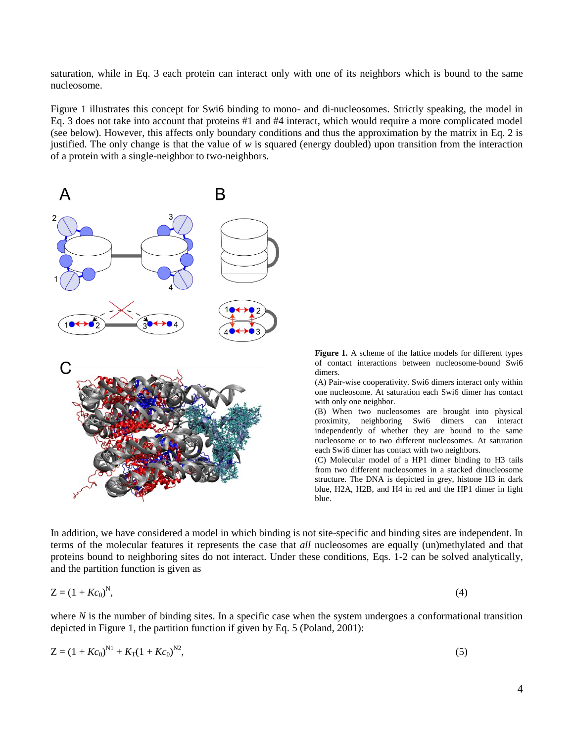saturation, while in Eq. 3 each protein can interact only with one of its neighbors which is bound to the same nucleosome.

Figure 1 illustrates this concept for Swi6 binding to mono- and di-nucleosomes. Strictly speaking, the model in Eq. 3 does not take into account that proteins #1 and #4 interact, which would require a more complicated model (see below). However, this affects only boundary conditions and thus the approximation by the matrix in Eq. 2 is justified. The only change is that the value of *w* is squared (energy doubled) upon transition from the interaction of a protein with a single-neighbor to two-neighbors.



**Figure 1.** A scheme of the lattice models for different types of contact interactions between nucleosome-bound Swi6 dimers.

(A) Pair-wise cooperativity. Swi6 dimers interact only within one nucleosome. At saturation each Swi6 dimer has contact with only one neighbor.

(B) When two nucleosomes are brought into physical proximity, neighboring Swi6 dimers can interact independently of whether they are bound to the same nucleosome or to two different nucleosomes. At saturation each Swi6 dimer has contact with two neighbors.

(C) Molecular model of a HP1 dimer binding to H3 tails from two different nucleosomes in a stacked dinucleosome structure. The DNA is depicted in grey, histone H3 in dark blue, H2A, H2B, and H4 in red and the HP1 dimer in light blue.

In addition, we have considered a model in which binding is not site-specific and binding sites are independent. In terms of the molecular features it represents the case that *all* nucleosomes are equally (un)methylated and that proteins bound to neighboring sites do not interact. Under these conditions, Eqs. 1-2 can be solved analytically, and the partition function is given as

$$
Z = (1 + Kc_0)^N,\tag{4}
$$

where  $N$  is the number of binding sites. In a specific case when the system undergoes a conformational transition depicted in Figure 1, the partition function if given by Eq. 5 (Poland, 2001):

$$
Z = (1 + Kc_0)^{N1} + K_T(1 + Kc_0)^{N2},\tag{5}
$$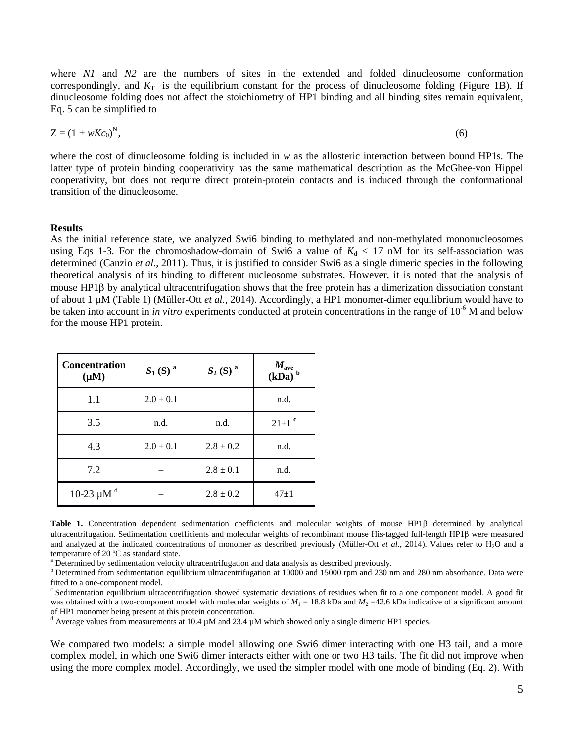where *N1* and *N2* are the numbers of sites in the extended and folded dinucleosome conformation correspondingly, and  $K<sub>T</sub>$  is the equilibrium constant for the process of dinucleosome folding (Figure 1B). If dinucleosome folding does not affect the stoichiometry of HP1 binding and all binding sites remain equivalent, Eq. 5 can be simplified to

$$
Z = (1 + wKc_0)^N, \tag{6}
$$

where the cost of dinucleosome folding is included in *w* as the allosteric interaction between bound HP1s. The latter type of protein binding cooperativity has the same mathematical description as the McGhee-von Hippel cooperativity, but does not require direct protein-protein contacts and is induced through the conformational transition of the dinucleosome.

#### **Results**

As the initial reference state, we analyzed Swi6 binding to methylated and non-methylated mononucleosomes using Eqs 1-3. For the chromoshadow-domain of Swi6 a value of  $K_d < 17$  nM for its self-association was determined (Canzio *et al.*, 2011). Thus, it is justified to consider Swi6 as a single dimeric species in the following theoretical analysis of its binding to different nucleosome substrates. However, it is noted that the analysis of mouse  $HP1\beta$  by analytical ultracentrifugation shows that the free protein has a dimerization dissociation constant of about 1 µM (Table 1) (Müller-Ott *et al.*, 2014). Accordingly, a HP1 monomer-dimer equilibrium would have to be taken into account in *in vitro* experiments conducted at protein concentrations in the range of 10<sup>-6</sup> M and below for the mouse HP1 protein.

| <b>Concentration</b><br>$(\mu M)$ | $S_1(S)^a$    | $S_2(S)^a$    | $M_{\rm ave}$<br>$(kDa)^b$ |  |
|-----------------------------------|---------------|---------------|----------------------------|--|
| 1.1                               | $2.0 \pm 0.1$ |               | n.d.                       |  |
| 3.5                               | n.d.<br>n.d.  |               | $21 \pm 1$ <sup>c</sup>    |  |
| 4.3                               | $2.0 \pm 0.1$ | $2.8 \pm 0.2$ | n.d.                       |  |
| 7.2                               |               | $2.8 \pm 0.1$ | n.d.                       |  |
| 10-23 $\mu$ M <sup>d</sup>        |               | $2.8 \pm 0.2$ | $47+1$                     |  |

Table 1. Concentration dependent sedimentation coefficients and molecular weights of mouse HP1 $\beta$  determined by analytical ultracentrifugation. Sedimentation coefficients and molecular weights of recombinant mouse His-tagged full-length HP1 $\beta$  were measured and analyzed at the indicated concentrations of monomer as described previously (Müller-Ott *et al.*, 2014). Values refer to H<sub>2</sub>O and a temperature of 20 ºC as standard state.

<sup>a</sup> Determined by sedimentation velocity ultracentrifugation and data analysis as described previously.

b Determined from sedimentation equilibrium ultracentrifugation at 10000 and 15000 rpm and 230 nm and 280 nm absorbance. Data were fitted to a one-component model.

<sup>c</sup> Sedimentation equilibrium ultracentrifugation showed systematic deviations of residues when fit to a one component model. A good fit was obtained with a two-component model with molecular weights of  $M_1 = 18.8$  kDa and  $M_2 = 42.6$  kDa indicative of a significant amount of HP1 monomer being present at this protein concentration.

<sup>d</sup> Average values from measurements at 10.4  $\mu$ M and 23.4  $\mu$ M which showed only a single dimeric HP1 species.

We compared two models: a simple model allowing one Swi6 dimer interacting with one H3 tail, and a more complex model, in which one Swi6 dimer interacts either with one or two H3 tails. The fit did not improve when using the more complex model. Accordingly, we used the simpler model with one mode of binding (Eq. 2). With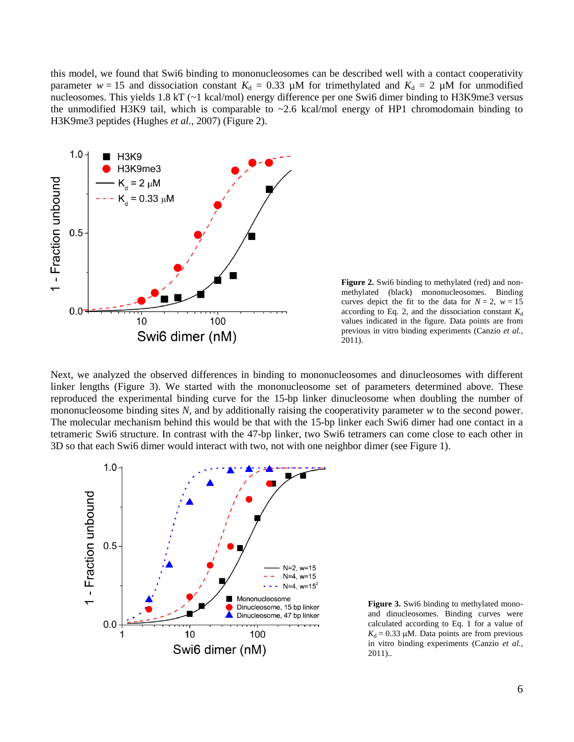this model, we found that Swi6 binding to mononucleosomes can be described well with a contact cooperativity parameter  $w = 15$  and dissociation constant  $K_d = 0.33$  µM for trimethylated and  $K_d = 2$  µM for unmodified nucleosomes. This yields 1.8 kT (~1 kcal/mol) energy difference per one Swi6 dimer binding to H3K9me3 versus the unmodified H3K9 tail, which is comparable to  $\sim$  2.6 kcal/mol energy of HP1 chromodomain binding to H3K9me3 peptides (Hughes *et al.*, 2007) (Figure 2).



**Figure 2.** Swi6 binding to methylated (red) and nonmethylated (black) mononucleosomes. Binding curves depict the fit to the data for  $N = 2$ ,  $w = 15$ according to Eq. 2, and the dissociation constant  $K_d$ values indicated in the figure. Data points are from previous in vitro binding experiments (Canzio *et al.*, 2011).

Next, we analyzed the observed differences in binding to mononucleosomes and dinucleosomes with different linker lengths (Figure 3). We started with the mononucleosome set of parameters determined above. These reproduced the experimental binding curve for the 15-bp linker dinucleosome when doubling the number of mononucleosome binding sites *N,* and by additionally raising the cooperativity parameter *w* to the second power. The molecular mechanism behind this would be that with the 15-bp linker each Swi6 dimer had one contact in a tetrameric Swi6 structure. In contrast with the 47-bp linker, two Swi6 tetramers can come close to each other in 3D so that each Swi6 dimer would interact with two, not with one neighbor dimer (see Figure 1).



**Figure 3.** Swi6 binding to methylated monoand dinucleosomes. Binding curves were calculated according to Eq. 1 for a value of  $K_d = 0.33 \mu M$ . Data points are from previous in vitro binding experiments (Canzio *et al.*, 2011)..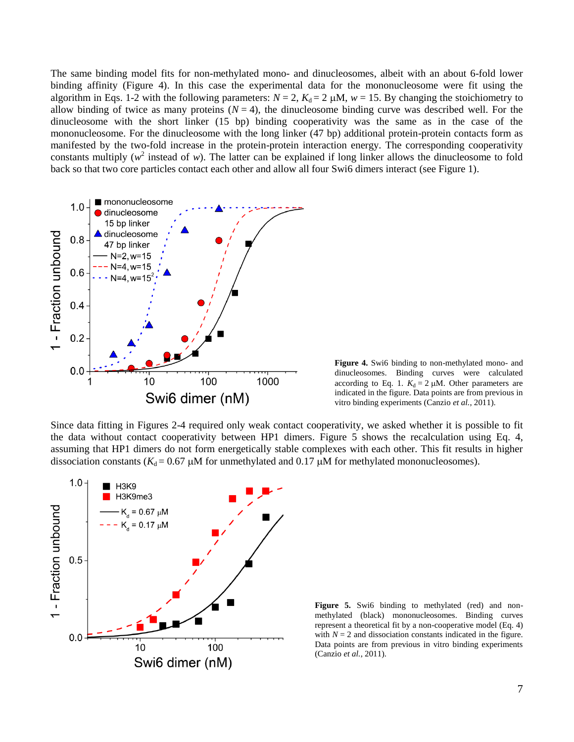The same binding model fits for non-methylated mono- and dinucleosomes, albeit with an about 6-fold lower binding affinity (Figure 4). In this case the experimental data for the mononucleosome were fit using the algorithm in Eqs. 1-2 with the following parameters:  $N = 2$ ,  $K_d = 2 \mu M$ ,  $w = 15$ . By changing the stoichiometry to allow binding of twice as many proteins  $(N = 4)$ , the dinucleosome binding curve was described well. For the dinucleosome with the short linker (15 bp) binding cooperativity was the same as in the case of the mononucleosome. For the dinucleosome with the long linker (47 bp) additional protein-protein contacts form as manifested by the two-fold increase in the protein-protein interaction energy. The corresponding cooperativity constants multiply  $(w^2)$  instead of *w*). The latter can be explained if long linker allows the dinucleosome to fold back so that two core particles contact each other and allow all four Swi6 dimers interact (see Figure 1).



**Figure 4.** Swi6 binding to non-methylated mono- and dinucleosomes. Binding curves were calculated according to Eq. 1.  $K_d = 2 \mu M$ . Other parameters are indicated in the figure. Data points are from previous in vitro binding experiments (Canzio *et al.*, 2011).

Since data fitting in Figures 2-4 required only weak contact cooperativity, we asked whether it is possible to fit the data without contact cooperativity between HP1 dimers. Figure 5 shows the recalculation using Eq. 4, assuming that HP1 dimers do not form energetically stable complexes with each other. This fit results in higher dissociation constants ( $K_d$  = 0.67  $\mu$ M for unmethylated and 0.17  $\mu$ M for methylated mononucleosomes).



Figure 5. Swi6 binding to methylated (red) and nonmethylated (black) mononucleosomes. Binding curves represent a theoretical fit by a non-cooperative model (Eq. 4) with  $N = 2$  and dissociation constants indicated in the figure. Data points are from previous in vitro binding experiments (Canzio *et al.*, 2011).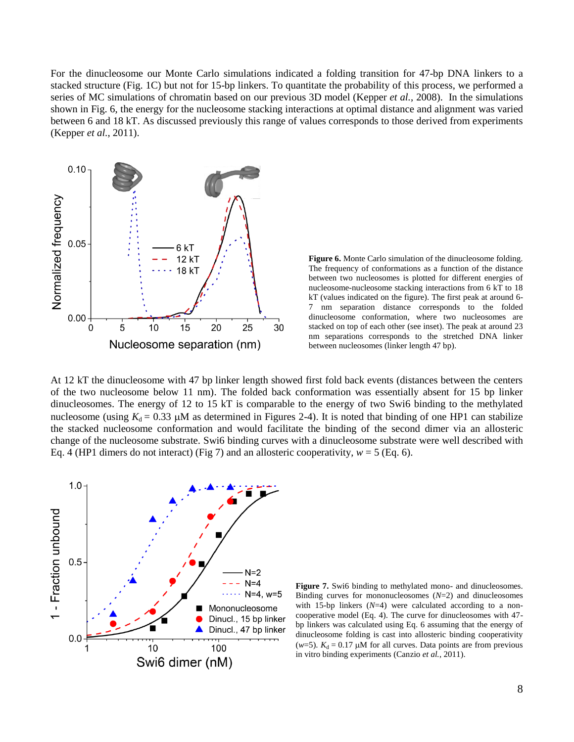For the dinucleosome our Monte Carlo simulations indicated a folding transition for 47-bp DNA linkers to a stacked structure (Fig. 1C) but not for 15-bp linkers. To quantitate the probability of this process, we performed a series of MC simulations of chromatin based on our previous 3D model (Kepper *et al.*, 2008). In the simulations shown in Fig. 6, the energy for the nucleosome stacking interactions at optimal distance and alignment was varied between 6 and 18 kT. As discussed previously this range of values corresponds to those derived from experiments (Kepper *et al.*, 2011).



**Figure 6.** Monte Carlo simulation of the dinucleosome folding. The frequency of conformations as a function of the distance between two nucleosomes is plotted for different energies of nucleosome-nucleosome stacking interactions from 6 kT to 18 kT (values indicated on the figure). The first peak at around 6- 7 nm separation distance corresponds to the folded dinucleosome conformation, where two nucleosomes are stacked on top of each other (see inset). The peak at around 23 nm separations corresponds to the stretched DNA linker between nucleosomes (linker length 47 bp).

At 12 kT the dinucleosome with 47 bp linker length showed first fold back events (distances between the centers of the two nucleosome below 11 nm). The folded back conformation was essentially absent for 15 bp linker dinucleosomes. The energy of 12 to 15 kT is comparable to the energy of two Swi6 binding to the methylated nucleosome (using  $K_d = 0.33$   $\mu$ M as determined in Figures 2-4). It is noted that binding of one HP1 can stabilize the stacked nucleosome conformation and would facilitate the binding of the second dimer via an allosteric change of the nucleosome substrate. Swi6 binding curves with a dinucleosome substrate were well described with Eq. 4 (HP1 dimers do not interact) (Fig 7) and an allosteric cooperativity,  $w = 5$  (Eq. 6).



Figure 7. Swi6 binding to methylated mono- and dinucleosomes. Binding curves for mononucleosomes (*N*=2) and dinucleosomes with 15-bp linkers  $(N=4)$  were calculated according to a noncooperative model (Eq. 4). The curve for dinucleosomes with 47 bp linkers was calculated using Eq. 6 assuming that the energy of dinucleosome folding is cast into allosteric binding cooperativity ( $w=5$ ).  $K_d = 0.17 \mu M$  for all curves. Data points are from previous in vitro binding experiments (Canzio *et al.*, 2011).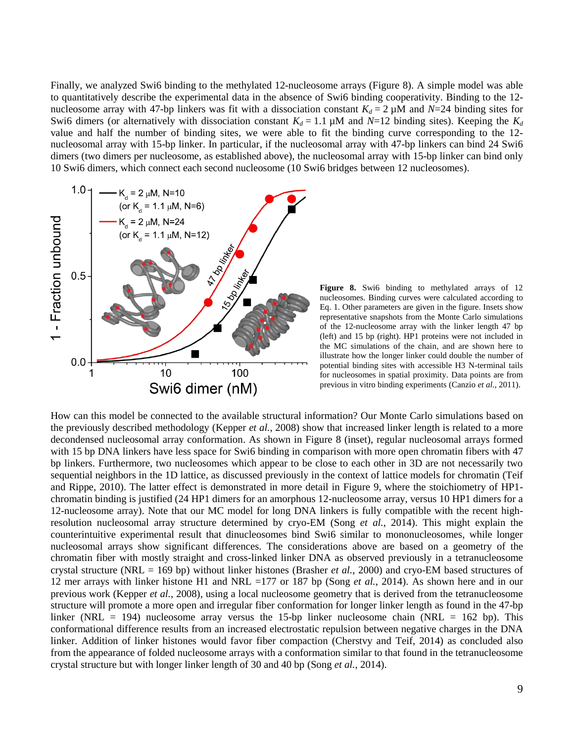Finally, we analyzed Swi6 binding to the methylated 12-nucleosome arrays (Figure 8). A simple model was able to quantitatively describe the experimental data in the absence of Swi6 binding cooperativity. Binding to the 12 nucleosome array with 47-bp linkers was fit with a dissociation constant  $K_d = 2 \mu M$  and  $N=24$  binding sites for Swi6 dimers (or alternatively with dissociation constant  $K_d = 1.1 \mu M$  and  $N=12$  binding sites). Keeping the  $K_d$ value and half the number of binding sites, we were able to fit the binding curve corresponding to the 12 nucleosomal array with 15-bp linker. In particular, if the nucleosomal array with 47-bp linkers can bind 24 Swi6 dimers (two dimers per nucleosome, as established above), the nucleosomal array with 15-bp linker can bind only 10 Swi6 dimers, which connect each second nucleosome (10 Swi6 bridges between 12 nucleosomes).



**Figure 8.** Swi6 binding to methylated arrays of 12 nucleosomes. Binding curves were calculated according to Eq. 1. Other parameters are given in the figure. Insets show representative snapshots from the Monte Carlo simulations of the 12-nucleosome array with the linker length 47 bp (left) and 15 bp (right). HP1 proteins were not included in the MC simulations of the chain, and are shown here to illustrate how the longer linker could double the number of potential binding sites with accessible H3 N-terminal tails for nucleosomes in spatial proximity. Data points are from previous in vitro binding experiments (Canzio *et al.*, 2011).

How can this model be connected to the available structural information? Our Monte Carlo simulations based on the previously described methodology (Kepper *et al.*, 2008) show that increased linker length is related to a more decondensed nucleosomal array conformation. As shown in Figure 8 (inset), regular nucleosomal arrays formed with 15 bp DNA linkers have less space for Swi6 binding in comparison with more open chromatin fibers with 47 bp linkers. Furthermore, two nucleosomes which appear to be close to each other in 3D are not necessarily two sequential neighbors in the 1D lattice, as discussed previously in the context of lattice models for chromatin (Teif and Rippe, 2010). The latter effect is demonstrated in more detail in Figure 9, where the stoichiometry of HP1 chromatin binding is justified (24 HP1 dimers for an amorphous 12-nucleosome array, versus 10 HP1 dimers for a 12-nucleosome array). Note that our MC model for long DNA linkers is fully compatible with the recent highresolution nucleosomal array structure determined by cryo-EM (Song *et al.*, 2014). This might explain the counterintuitive experimental result that dinucleosomes bind Swi6 similar to mononucleosomes, while longer nucleosomal arrays show significant differences. The considerations above are based on a geometry of the chromatin fiber with mostly straight and cross-linked linker DNA as observed previously in a tetranucleosome crystal structure (NRL = 169 bp) without linker histones (Brasher *et al.*, 2000) and cryo-EM based structures of 12 mer arrays with linker histone H1 and NRL =177 or 187 bp (Song *et al.*, 2014). As shown here and in our previous work (Kepper *et al.*, 2008), using a local nucleosome geometry that is derived from the tetranucleosome structure will promote a more open and irregular fiber conformation for longer linker length as found in the 47-bp linker (NRL = 194) nucleosome array versus the 15-bp linker nucleosome chain (NRL = 162 bp). This conformational difference results from an increased electrostatic repulsion between negative charges in the DNA linker. Addition of linker histones would favor fiber compaction (Cherstvy and Teif, 2014) as concluded also from the appearance of folded nucleosome arrays with a conformation similar to that found in the tetranucleosome crystal structure but with longer linker length of 30 and 40 bp (Song *et al.*, 2014).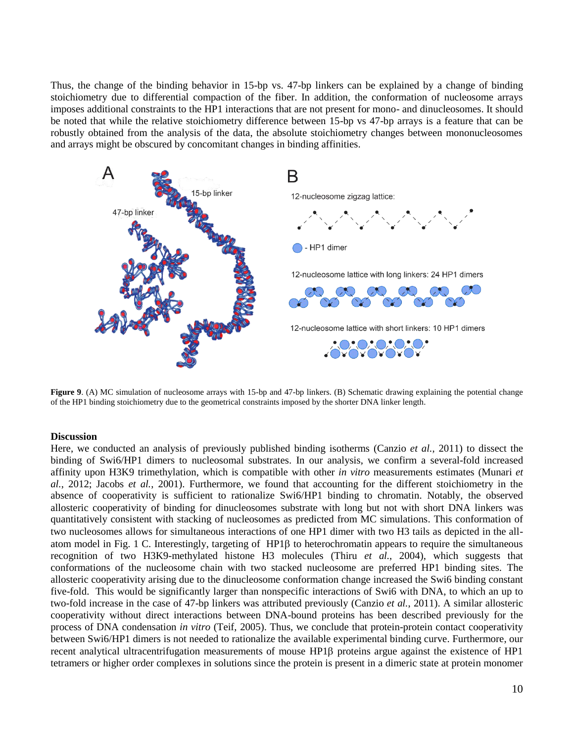Thus, the change of the binding behavior in 15-bp vs. 47-bp linkers can be explained by a change of binding stoichiometry due to differential compaction of the fiber. In addition, the conformation of nucleosome arrays imposes additional constraints to the HP1 interactions that are not present for mono- and dinucleosomes. It should be noted that while the relative stoichiometry difference between 15-bp vs 47-bp arrays is a feature that can be robustly obtained from the analysis of the data, the absolute stoichiometry changes between mononucleosomes and arrays might be obscured by concomitant changes in binding affinities.



**Figure 9.** (A) MC simulation of nucleosome arrays with 15-bp and 47-bp linkers. (B) Schematic drawing explaining the potential change of the HP1 binding stoichiometry due to the geometrical constraints imposed by the shorter DNA linker length.

#### **Discussion**

Here, we conducted an analysis of previously published binding isotherms (Canzio *et al.*, 2011) to dissect the binding of Swi6/HP1 dimers to nucleosomal substrates. In our analysis, we confirm a several-fold increased affinity upon H3K9 trimethylation, which is compatible with other *in vitro* measurements estimates (Munari *et al.*, 2012; Jacobs *et al.*, 2001). Furthermore, we found that accounting for the different stoichiometry in the absence of cooperativity is sufficient to rationalize Swi6/HP1 binding to chromatin. Notably, the observed allosteric cooperativity of binding for dinucleosomes substrate with long but not with short DNA linkers was quantitatively consistent with stacking of nucleosomes as predicted from MC simulations. This conformation of two nucleosomes allows for simultaneous interactions of one HP1 dimer with two H3 tails as depicted in the allatom model in Fig. 1 C. Interestingly, targeting of  $HP1\beta$  to heterochromatin appears to require the simultaneous recognition of two H3K9-methylated histone H3 molecules (Thiru *et al.*, 2004), which suggests that conformations of the nucleosome chain with two stacked nucleosome are preferred HP1 binding sites. The allosteric cooperativity arising due to the dinucleosome conformation change increased the Swi6 binding constant five-fold. This would be significantly larger than nonspecific interactions of Swi6 with DNA, to which an up to two-fold increase in the case of 47-bp linkers was attributed previously (Canzio *et al.*, 2011). A similar allosteric cooperativity without direct interactions between DNA-bound proteins has been described previously for the process of DNA condensation *in vitro* (Teif, 2005). Thus, we conclude that protein-protein contact cooperativity between Swi6/HP1 dimers is not needed to rationalize the available experimental binding curve. Furthermore, our recent analytical ultracentrifugation measurements of mouse HP1 $\beta$  proteins argue against the existence of HP1 tetramers or higher order complexes in solutions since the protein is present in a dimeric state at protein monomer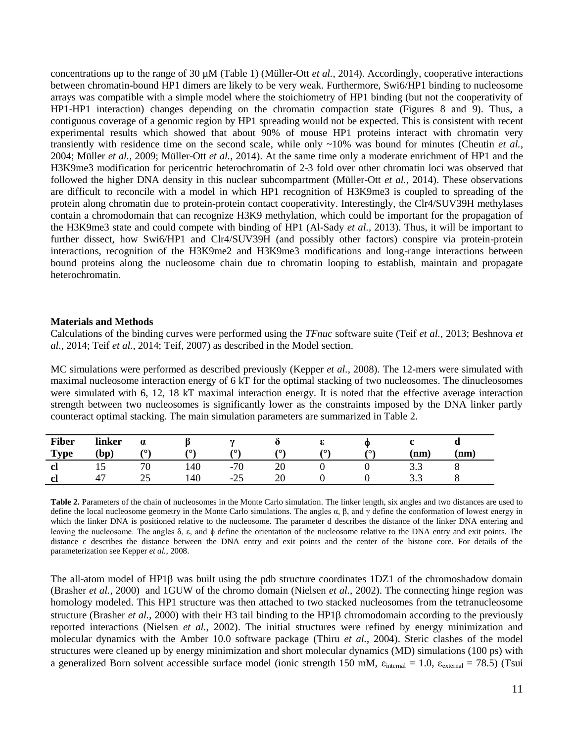concentrations up to the range of 30 µM (Table 1) (Müller-Ott *et al.*, 2014). Accordingly, cooperative interactions between chromatin-bound HP1 dimers are likely to be very weak. Furthermore, Swi6/HP1 binding to nucleosome arrays was compatible with a simple model where the stoichiometry of HP1 binding (but not the cooperativity of HP1-HP1 interaction) changes depending on the chromatin compaction state (Figures 8 and 9). Thus, a contiguous coverage of a genomic region by HP1 spreading would not be expected. This is consistent with recent experimental results which showed that about 90% of mouse HP1 proteins interact with chromatin very transiently with residence time on the second scale, while only ~10% was bound for minutes (Cheutin *et al.*, 2004; Müller *et al.*, 2009; Müller-Ott *et al.*, 2014). At the same time only a moderate enrichment of HP1 and the H3K9me3 modification for pericentric heterochromatin of 2-3 fold over other chromatin loci was observed that followed the higher DNA density in this nuclear subcompartment (Müller-Ott *et al.*, 2014). These observations are difficult to reconcile with a model in which HP1 recognition of H3K9me3 is coupled to spreading of the protein along chromatin due to protein-protein contact cooperativity. Interestingly, the Clr4/SUV39H methylases contain a chromodomain that can recognize H3K9 methylation, which could be important for the propagation of the H3K9me3 state and could compete with binding of HP1 (Al-Sady *et al.*, 2013). Thus, it will be important to further dissect, how Swi6/HP1 and Clr4/SUV39H (and possibly other factors) conspire via protein-protein interactions, recognition of the H3K9me2 and H3K9me3 modifications and long-range interactions between bound proteins along the nucleosome chain due to chromatin looping to establish, maintain and propagate heterochromatin.

### **Materials and Methods**

Calculations of the binding curves were performed using the *TFnuc* software suite (Teif *et al.*, 2013; Beshnova *et al.*, 2014; Teif *et al.*, 2014; Teif, 2007) as described in the Model section.

MC simulations were performed as described previously (Kepper *et al.*, 2008). The 12-mers were simulated with maximal nucleosome interaction energy of 6 kT for the optimal stacking of two nucleosomes. The dinucleosomes were simulated with 6, 12, 18 kT maximal interaction energy. It is noted that the effective average interaction strength between two nucleosomes is significantly lower as the constraints imposed by the DNA linker partly counteract optimal stacking. The main simulation parameters are summarized in Table 2.

| <b>Fiber</b><br><b>Type</b> | linker<br>(bp)    | $\alpha$<br>$\sim$ | $\sqrt{2}$ | $\sim$<br>70 | ∕ດ`            | 70) | (0) | (nm) | $\mathbf{nm}$ |
|-----------------------------|-------------------|--------------------|------------|--------------|----------------|-----|-----|------|---------------|
| <sub>cl</sub>               | ⊥ັ<br>$4^{\circ}$ | 70<br>25           | 140        | $-70$        | ററ<br>20<br>ററ |     |     | ر. ر |               |
| cl                          |                   | رے                 | 140        | $-25$        | ∠∪             |     |     | ن. ب |               |

**Table 2.** Parameters of the chain of nucleosomes in the Monte Carlo simulation. The linker length, six angles and two distances are used to define the local nucleosome geometry in the Monte Carlo simulations. The angles  $\alpha$ ,  $\beta$ , and γ define the conformation of lowest energy in which the linker DNA is positioned relative to the nucleosome. The parameter d describes the distance of the linker DNA entering and leaving the nucleosome. The angles δ, ε, and define the orientation of the nucleosome relative to the DNA entry and exit points. The distance c describes the distance between the DNA entry and exit points and the center of the histone core. For details of the parameterization see Kepper *et al.*, 2008.

The all-atom model of HP1 $\beta$  was built using the pdb structure coordinates 1DZ1 of the chromoshadow domain (Brasher *et al.*, 2000) and 1GUW of the chromo domain (Nielsen *et al.*, 2002). The connecting hinge region was homology modeled. This HP1 structure was then attached to two stacked nucleosomes from the tetranucleosome structure (Brasher *et al.*, 2000) with their H3 tail binding to the HP1B chromodomain according to the previously reported interactions (Nielsen *et al.*, 2002). The initial structures were refined by energy minimization and molecular dynamics with the Amber 10.0 software package (Thiru *et al.*, 2004). Steric clashes of the model structures were cleaned up by energy minimization and short molecular dynamics (MD) simulations (100 ps) with a generalized Born solvent accessible surface model (ionic strength 150 mM,  $\varepsilon_{\text{internal}} = 1.0$ ,  $\varepsilon_{\text{external}} = 78.5$ ) (Tsui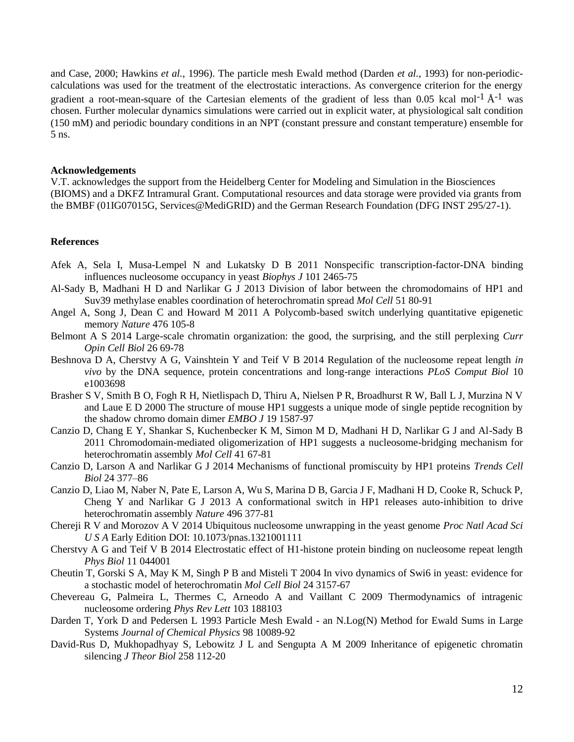and Case, 2000; Hawkins *et al.*, 1996). The particle mesh Ewald method (Darden *et al.*, 1993) for non-periodiccalculations was used for the treatment of the electrostatic interactions. As convergence criterion for the energy gradient a root-mean-square of the Cartesian elements of the gradient of less than 0.05 kcal mol<sup>-1</sup>  $\AA$ <sup>-1</sup> was chosen. Further molecular dynamics simulations were carried out in explicit water, at physiological salt condition (150 mM) and periodic boundary conditions in an NPT (constant pressure and constant temperature) ensemble for 5 ns.

## **Acknowledgements**

V.T. acknowledges the support from the Heidelberg Center for Modeling and Simulation in the Biosciences (BIOMS) and a DKFZ Intramural Grant. Computational resources and data storage were provided via grants from the BMBF (01IG07015G, Services@MediGRID) and the German Research Foundation (DFG INST 295/27-1).

## **References**

- Afek A, Sela I, Musa-Lempel N and Lukatsky D B 2011 Nonspecific transcription-factor-DNA binding influences nucleosome occupancy in yeast *Biophys J* 101 2465-75
- Al-Sady B, Madhani H D and Narlikar G J 2013 Division of labor between the chromodomains of HP1 and Suv39 methylase enables coordination of heterochromatin spread *Mol Cell* 51 80-91
- Angel A, Song J, Dean C and Howard M 2011 A Polycomb-based switch underlying quantitative epigenetic memory *Nature* 476 105-8
- Belmont A S 2014 Large-scale chromatin organization: the good, the surprising, and the still perplexing *Curr Opin Cell Biol* 26 69-78
- Beshnova D A, Cherstvy A G, Vainshtein Y and Teif V B 2014 Regulation of the nucleosome repeat length *in vivo* by the DNA sequence, protein concentrations and long-range interactions *PLoS Comput Biol* 10 e1003698
- Brasher S V, Smith B O, Fogh R H, Nietlispach D, Thiru A, Nielsen P R, Broadhurst R W, Ball L J, Murzina N V and Laue E D 2000 The structure of mouse HP1 suggests a unique mode of single peptide recognition by the shadow chromo domain dimer *EMBO J* 19 1587-97
- Canzio D, Chang E Y, Shankar S, Kuchenbecker K M, Simon M D, Madhani H D, Narlikar G J and Al-Sady B 2011 Chromodomain-mediated oligomerization of HP1 suggests a nucleosome-bridging mechanism for heterochromatin assembly *Mol Cell* 41 67-81
- Canzio D, Larson A and Narlikar G J 2014 Mechanisms of functional promiscuity by HP1 proteins *Trends Cell Biol* 24 377–86
- Canzio D, Liao M, Naber N, Pate E, Larson A, Wu S, Marina D B, Garcia J F, Madhani H D, Cooke R, Schuck P, Cheng Y and Narlikar G J 2013 A conformational switch in HP1 releases auto-inhibition to drive heterochromatin assembly *Nature* 496 377-81
- Chereji R V and Morozov A V 2014 Ubiquitous nucleosome unwrapping in the yeast genome *Proc Natl Acad Sci U S A* Early Edition DOI: 10.1073/pnas.1321001111
- Cherstvy A G and Teif V B 2014 Electrostatic effect of H1-histone protein binding on nucleosome repeat length *Phys Biol* 11 044001
- Cheutin T, Gorski S A, May K M, Singh P B and Misteli T 2004 In vivo dynamics of Swi6 in yeast: evidence for a stochastic model of heterochromatin *Mol Cell Biol* 24 3157-67
- Chevereau G, Palmeira L, Thermes C, Arneodo A and Vaillant C 2009 Thermodynamics of intragenic nucleosome ordering *Phys Rev Lett* 103 188103
- Darden T, York D and Pedersen L 1993 Particle Mesh Ewald an N.Log(N) Method for Ewald Sums in Large Systems *Journal of Chemical Physics* 98 10089-92
- David-Rus D, Mukhopadhyay S, Lebowitz J L and Sengupta A M 2009 Inheritance of epigenetic chromatin silencing *J Theor Biol* 258 112-20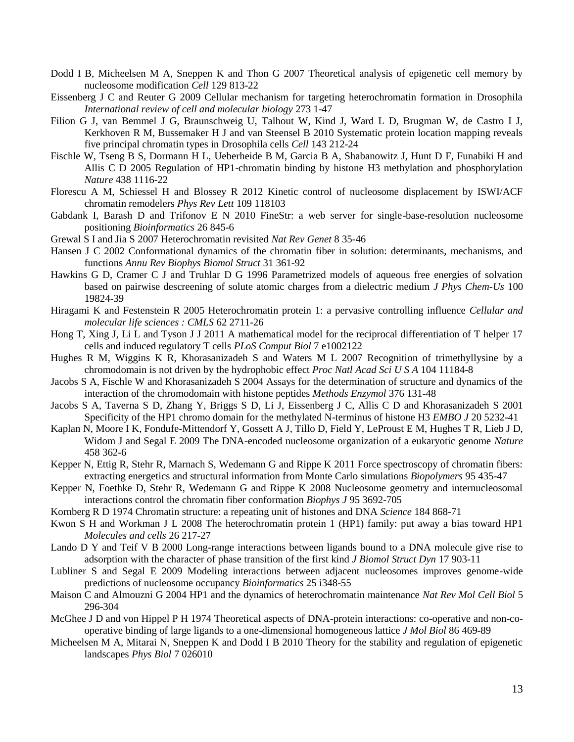- Dodd I B, Micheelsen M A, Sneppen K and Thon G 2007 Theoretical analysis of epigenetic cell memory by nucleosome modification *Cell* 129 813-22
- Eissenberg J C and Reuter G 2009 Cellular mechanism for targeting heterochromatin formation in Drosophila *International review of cell and molecular biology* 273 1-47
- Filion G J, van Bemmel J G, Braunschweig U, Talhout W, Kind J, Ward L D, Brugman W, de Castro I J, Kerkhoven R M, Bussemaker H J and van Steensel B 2010 Systematic protein location mapping reveals five principal chromatin types in Drosophila cells *Cell* 143 212-24
- Fischle W, Tseng B S, Dormann H L, Ueberheide B M, Garcia B A, Shabanowitz J, Hunt D F, Funabiki H and Allis C D 2005 Regulation of HP1-chromatin binding by histone H3 methylation and phosphorylation *Nature* 438 1116-22
- Florescu A M, Schiessel H and Blossey R 2012 Kinetic control of nucleosome displacement by ISWI/ACF chromatin remodelers *Phys Rev Lett* 109 118103
- Gabdank I, Barash D and Trifonov E N 2010 FineStr: a web server for single-base-resolution nucleosome positioning *Bioinformatics* 26 845-6
- Grewal S I and Jia S 2007 Heterochromatin revisited *Nat Rev Genet* 8 35-46
- Hansen J C 2002 Conformational dynamics of the chromatin fiber in solution: determinants, mechanisms, and functions *Annu Rev Biophys Biomol Struct* 31 361-92
- Hawkins G D, Cramer C J and Truhlar D G 1996 Parametrized models of aqueous free energies of solvation based on pairwise descreening of solute atomic charges from a dielectric medium *J Phys Chem-Us* 100 19824-39
- Hiragami K and Festenstein R 2005 Heterochromatin protein 1: a pervasive controlling influence *Cellular and molecular life sciences : CMLS* 62 2711-26
- Hong T, Xing J, Li L and Tyson J J 2011 A mathematical model for the reciprocal differentiation of T helper 17 cells and induced regulatory T cells *PLoS Comput Biol* 7 e1002122
- Hughes R M, Wiggins K R, Khorasanizadeh S and Waters M L 2007 Recognition of trimethyllysine by a chromodomain is not driven by the hydrophobic effect *Proc Natl Acad Sci U S A* 104 11184-8
- Jacobs S A, Fischle W and Khorasanizadeh S 2004 Assays for the determination of structure and dynamics of the interaction of the chromodomain with histone peptides *Methods Enzymol* 376 131-48
- Jacobs S A, Taverna S D, Zhang Y, Briggs S D, Li J, Eissenberg J C, Allis C D and Khorasanizadeh S 2001 Specificity of the HP1 chromo domain for the methylated N-terminus of histone H3 *EMBO J* 20 5232-41
- Kaplan N, Moore I K, Fondufe-Mittendorf Y, Gossett A J, Tillo D, Field Y, LeProust E M, Hughes T R, Lieb J D, Widom J and Segal E 2009 The DNA-encoded nucleosome organization of a eukaryotic genome *Nature* 458 362-6
- Kepper N, Ettig R, Stehr R, Marnach S, Wedemann G and Rippe K 2011 Force spectroscopy of chromatin fibers: extracting energetics and structural information from Monte Carlo simulations *Biopolymers* 95 435-47
- Kepper N, Foethke D, Stehr R, Wedemann G and Rippe K 2008 Nucleosome geometry and internucleosomal interactions control the chromatin fiber conformation *Biophys J* 95 3692-705
- Kornberg R D 1974 Chromatin structure: a repeating unit of histones and DNA *Science* 184 868-71
- Kwon S H and Workman J L 2008 The heterochromatin protein 1 (HP1) family: put away a bias toward HP1 *Molecules and cells* 26 217-27
- Lando D Y and Teif V B 2000 Long-range interactions between ligands bound to a DNA molecule give rise to adsorption with the character of phase transition of the first kind *J Biomol Struct Dyn* 17 903-11
- Lubliner S and Segal E 2009 Modeling interactions between adjacent nucleosomes improves genome-wide predictions of nucleosome occupancy *Bioinformatics* 25 i348-55
- Maison C and Almouzni G 2004 HP1 and the dynamics of heterochromatin maintenance *Nat Rev Mol Cell Biol* 5 296-304
- McGhee J D and von Hippel P H 1974 Theoretical aspects of DNA-protein interactions: co-operative and non-cooperative binding of large ligands to a one-dimensional homogeneous lattice *J Mol Biol* 86 469-89
- Micheelsen M A, Mitarai N, Sneppen K and Dodd I B 2010 Theory for the stability and regulation of epigenetic landscapes *Phys Biol* 7 026010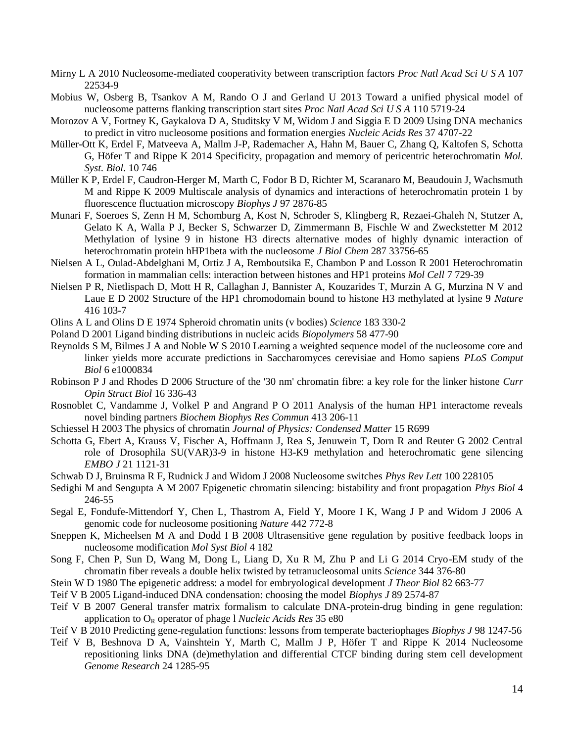- Mirny L A 2010 Nucleosome-mediated cooperativity between transcription factors *Proc Natl Acad Sci U S A* 107 22534-9
- Mobius W, Osberg B, Tsankov A M, Rando O J and Gerland U 2013 Toward a unified physical model of nucleosome patterns flanking transcription start sites *Proc Natl Acad Sci U S A* 110 5719-24
- Morozov A V, Fortney K, Gaykalova D A, Studitsky V M, Widom J and Siggia E D 2009 Using DNA mechanics to predict in vitro nucleosome positions and formation energies *Nucleic Acids Res* 37 4707-22
- Müller-Ott K, Erdel F, Matveeva A, Mallm J-P, Rademacher A, Hahn M, Bauer C, Zhang Q, Kaltofen S, Schotta G, Höfer T and Rippe K 2014 Specificity, propagation and memory of pericentric heterochromatin *Mol. Syst. Biol.* 10 746
- Müller K P, Erdel F, Caudron-Herger M, Marth C, Fodor B D, Richter M, Scaranaro M, Beaudouin J, Wachsmuth M and Rippe K 2009 Multiscale analysis of dynamics and interactions of heterochromatin protein 1 by fluorescence fluctuation microscopy *Biophys J* 97 2876-85
- Munari F, Soeroes S, Zenn H M, Schomburg A, Kost N, Schroder S, Klingberg R, Rezaei-Ghaleh N, Stutzer A, Gelato K A, Walla P J, Becker S, Schwarzer D, Zimmermann B, Fischle W and Zweckstetter M 2012 Methylation of lysine 9 in histone H3 directs alternative modes of highly dynamic interaction of heterochromatin protein hHP1beta with the nucleosome *J Biol Chem* 287 33756-65
- Nielsen A L, Oulad-Abdelghani M, Ortiz J A, Remboutsika E, Chambon P and Losson R 2001 Heterochromatin formation in mammalian cells: interaction between histones and HP1 proteins *Mol Cell* 7 729-39
- Nielsen P R, Nietlispach D, Mott H R, Callaghan J, Bannister A, Kouzarides T, Murzin A G, Murzina N V and Laue E D 2002 Structure of the HP1 chromodomain bound to histone H3 methylated at lysine 9 *Nature* 416 103-7
- Olins A L and Olins D E 1974 Spheroid chromatin units (v bodies) *Science* 183 330-2
- Poland D 2001 Ligand binding distributions in nucleic acids *Biopolymers* 58 477-90
- Reynolds S M, Bilmes J A and Noble W S 2010 Learning a weighted sequence model of the nucleosome core and linker yields more accurate predictions in Saccharomyces cerevisiae and Homo sapiens *PLoS Comput Biol* 6 e1000834
- Robinson P J and Rhodes D 2006 Structure of the '30 nm' chromatin fibre: a key role for the linker histone *Curr Opin Struct Biol* 16 336-43
- Rosnoblet C, Vandamme J, Volkel P and Angrand P O 2011 Analysis of the human HP1 interactome reveals novel binding partners *Biochem Biophys Res Commun* 413 206-11
- Schiessel H 2003 The physics of chromatin *Journal of Physics: Condensed Matter* 15 R699
- Schotta G, Ebert A, Krauss V, Fischer A, Hoffmann J, Rea S, Jenuwein T, Dorn R and Reuter G 2002 Central role of Drosophila SU(VAR)3-9 in histone H3-K9 methylation and heterochromatic gene silencing *EMBO J* 21 1121-31
- Schwab D J, Bruinsma R F, Rudnick J and Widom J 2008 Nucleosome switches *Phys Rev Lett* 100 228105
- Sedighi M and Sengupta A M 2007 Epigenetic chromatin silencing: bistability and front propagation *Phys Biol* 4 246-55
- Segal E, Fondufe-Mittendorf Y, Chen L, Thastrom A, Field Y, Moore I K, Wang J P and Widom J 2006 A genomic code for nucleosome positioning *Nature* 442 772-8
- Sneppen K, Micheelsen M A and Dodd I B 2008 Ultrasensitive gene regulation by positive feedback loops in nucleosome modification *Mol Syst Biol* 4 182
- Song F, Chen P, Sun D, Wang M, Dong L, Liang D, Xu R M, Zhu P and Li G 2014 Cryo-EM study of the chromatin fiber reveals a double helix twisted by tetranucleosomal units *Science* 344 376-80
- Stein W D 1980 The epigenetic address: a model for embryological development *J Theor Biol* 82 663-77
- Teif V B 2005 Ligand-induced DNA condensation: choosing the model *Biophys J* 89 2574-87
- Teif V B 2007 General transfer matrix formalism to calculate DNA-protein-drug binding in gene regulation: application to O<sub>R</sub> operator of phage 1 *Nucleic Acids Res* 35 e80

Teif V B 2010 Predicting gene-regulation functions: lessons from temperate bacteriophages *Biophys J* 98 1247-56

Teif V B, Beshnova D A, Vainshtein Y, Marth C, Mallm J P, Höfer T and Rippe K 2014 Nucleosome repositioning links DNA (de)methylation and differential CTCF binding during stem cell development *Genome Research* 24 1285-95